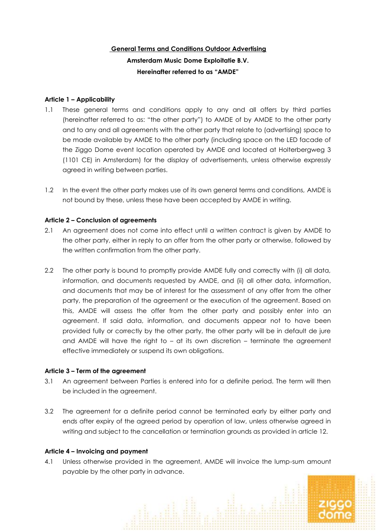# **General Terms and Conditions Outdoor Advertising Amsterdam Music Dome Exploitatie B.V. Hereinafter referred to as "AMDE"**

## **Article 1 – Applicability**

- 1.1 These general terms and conditions apply to any and all offers by third parties (hereinafter referred to as: "the other party") to AMDE of by AMDE to the other party and to any and all agreements with the other party that relate to (advertising) space to be made available by AMDE to the other party (including space on the LED facade of the Ziggo Dome event location operated by AMDE and located at Holterbergweg 3 (1101 CE) in Amsterdam) for the display of advertisements, unless otherwise expressly agreed in writing between parties.
- 1.2 In the event the other party makes use of its own general terms and conditions, AMDE is not bound by these, unless these have been accepted by AMDE in writing.

# **Article 2 – Conclusion of agreements**

- 2.1 An agreement does not come into effect until a written contract is given by AMDE to the other party, either in reply to an offer from the other party or otherwise, followed by the written confirmation from the other party.
- 2.2 The other party is bound to promptly provide AMDE fully and correctly with (i) all data, information, and documents requested by AMDE, and (ii) all other data, information, and documents that may be of interest for the assessment of any offer from the other party, the preparation of the agreement or the execution of the agreement. Based on this, AMDE will assess the offer from the other party and possibly enter into an agreement. If said data, information, and documents appear not to have been provided fully or correctly by the other party, the other party will be in default de jure and AMDE will have the right to – at its own discretion – terminate the agreement effective immediately or suspend its own obligations.

## **Article 3 – Term of the agreement**

- 3.1 An agreement between Parties is entered into for a definite period. The term will then be included in the agreement.
- 3.2 The agreement for a definite period cannot be terminated early by either party and ends after expiry of the agreed period by operation of law, unless otherwise agreed in writing and subject to the cancellation or termination grounds as provided in article 12.

## **Article 4 – Invoicing and payment**

4.1 Unless otherwise provided in the agreement, AMDE will invoice the lump-sum amount payable by the other party in advance.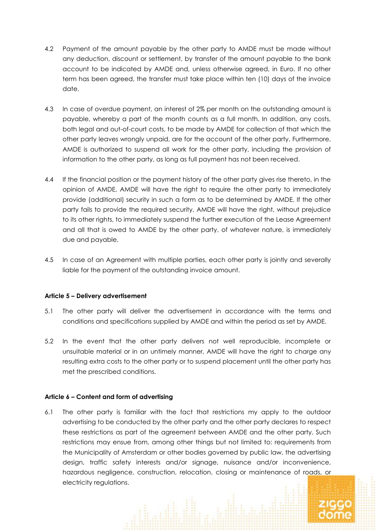- 4.2 Payment of the amount payable by the other party to AMDE must be made without any deduction, discount or settlement, by transfer of the amount payable to the bank account to be indicated by AMDE and, unless otherwise agreed, in Euro. If no other term has been agreed, the transfer must take place within ten (10) days of the invoice date.
- 4.3 In case of overdue payment, an interest of 2% per month on the outstanding amount is payable, whereby a part of the month counts as a full month. In addition, any costs, both legal and out-of-court costs, to be made by AMDE for collection of that which the other party leaves wrongly unpaid, are for the account of the other party. Furthermore, AMDE is authorized to suspend all work for the other party, including the provision of information to the other party, as long as full payment has not been received.
- 4.4 If the financial position or the payment history of the other party gives rise thereto, in the opinion of AMDE, AMDE will have the right to require the other party to immediately provide (additional) security in such a form as to be determined by AMDE. If the other party fails to provide the required security, AMDE will have the right, without prejudice to its other rights, to immediately suspend the further execution of the Lease Agreement and all that is owed to AMDE by the other party, of whatever nature, is immediately due and payable.
- 4.5 In case of an Agreement with multiple parties, each other party is jointly and severally liable for the payment of the outstanding invoice amount.

## **Article 5 – Delivery advertisement**

- 5.1 The other party will deliver the advertisement in accordance with the terms and conditions and specifications supplied by AMDE and within the period as set by AMDE.
- 5.2 In the event that the other party delivers not well reproducible, incomplete or unsuitable material or in an untimely manner, AMDE will have the right to charge any resulting extra costs to the other party or to suspend placement until the other party has met the prescribed conditions.

#### **Article 6 – Content and form of advertising**

6.1 The other party is familiar with the fact that restrictions my apply to the outdoor advertising to be conducted by the other party and the other party declares to respect these restrictions as part of the agreement between AMDE and the other party. Such restrictions may ensue from, among other things but not limited to: requirements from the Municipality of Amsterdam or other bodies governed by public law, the advertising design, traffic safety interests and/or signage, nuisance and/or inconvenience, hazardous negligence, construction, relocation, closing or maintenance of roads, or electricity regulations.

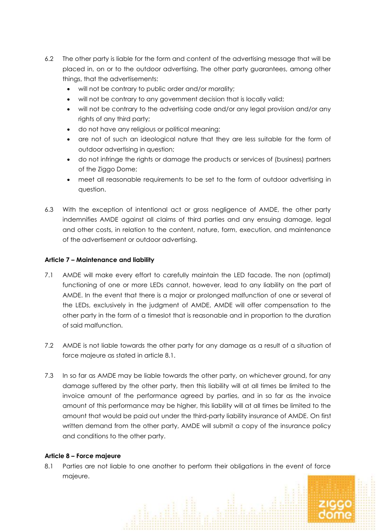- 6.2 The other party is liable for the form and content of the advertising message that will be placed in, on or to the outdoor advertising. The other party guarantees, among other things, that the advertisements:
	- will not be contrary to public order and/or morality;
	- will not be contrary to any government decision that is locally valid;
	- will not be contrary to the advertising code and/or any legal provision and/or any rights of any third party;
	- do not have any religious or political meaning;
	- are not of such an ideological nature that they are less suitable for the form of outdoor advertising in question;
	- do not infringe the rights or damage the products or services of (business) partners of the Ziggo Dome;
	- meet all reasonable requirements to be set to the form of outdoor advertising in question.
- 6.3 With the exception of intentional act or gross negligence of AMDE, the other party indemnifies AMDE against all claims of third parties and any ensuing damage, legal and other costs, in relation to the content, nature, form, execution, and maintenance of the advertisement or outdoor advertising.

## **Article 7 – Maintenance and liability**

- 7.1 AMDE will make every effort to carefully maintain the LED facade. The non (optimal) functioning of one or more LEDs cannot, however, lead to any liability on the part of AMDE. In the event that there is a major or prolonged malfunction of one or several of the LEDs, exclusively in the judgment of AMDE, AMDE will offer compensation to the other party in the form of a timeslot that is reasonable and in proportion to the duration of said malfunction.
- 7.2 AMDE is not liable towards the other party for any damage as a result of a situation of force majeure as stated in article 8.1.
- 7.3 In so far as AMDE may be liable towards the other party, on whichever ground, for any damage suffered by the other party, then this liability will at all times be limited to the invoice amount of the performance agreed by parties, and in so far as the invoice amount of this performance may be higher, this liability will at all times be limited to the amount that would be paid out under the third-party liability insurance of AMDE. On first written demand from the other party, AMDE will submit a copy of the insurance policy and conditions to the other party.

#### **Article 8 – Force majeure**

8.1 Parties are not liable to one another to perform their obligations in the event of force majeure.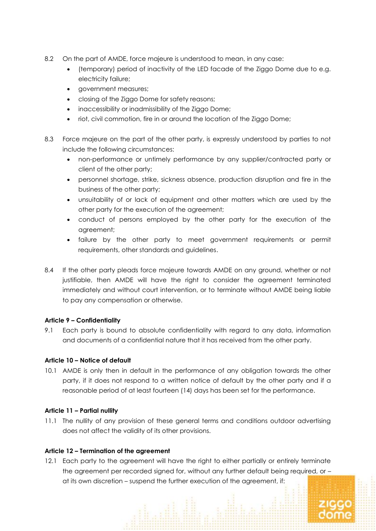- 8.2 On the part of AMDE, force majeure is understood to mean, in any case:
	- (temporary) period of inactivity of the LED facade of the Ziggo Dome due to e.g. electricity failure;
	- government measures;
	- closing of the Ziggo Dome for safety reasons;
	- inaccessibility or inadmissibility of the Ziggo Dome:
	- riot, civil commotion, fire in or around the location of the Ziggo Dome;
- 8.3 Force majeure on the part of the other party, is expressly understood by parties to not include the following circumstances:
	- non-performance or untimely performance by any supplier/contracted party or client of the other party;
	- personnel shortage, strike, sickness absence, production disruption and fire in the business of the other party;
	- unsuitability of or lack of equipment and other matters which are used by the other party for the execution of the agreement;
	- conduct of persons employed by the other party for the execution of the agreement;
	- failure by the other party to meet government requirements or permit requirements, other standards and guidelines.
- 8.4 If the other party pleads force majeure towards AMDE on any ground, whether or not justifiable, then AMDE will have the right to consider the agreement terminated immediately and without court intervention, or to terminate without AMDE being liable to pay any compensation or otherwise.

## **Article 9 – Confidentiality**

9.1 Each party is bound to absolute confidentiality with regard to any data, information and documents of a confidential nature that it has received from the other party.

## **Article 10 – Notice of default**

10.1 AMDE is only then in default in the performance of any obligation towards the other party, if it does not respond to a written notice of default by the other party and if a reasonable period of at least fourteen (14) days has been set for the performance.

## **Article 11 – Partial nullity**

11.1 The nullity of any provision of these general terms and conditions outdoor advertising does not affect the validity of its other provisions.

## **Article 12 – Termination of the agreement**

12.1 Each party to the agreement will have the right to either partially or entirely terminate the agreement per recorded signed for, without any further default being required, or – at its own discretion – suspend the further execution of the agreement, if: